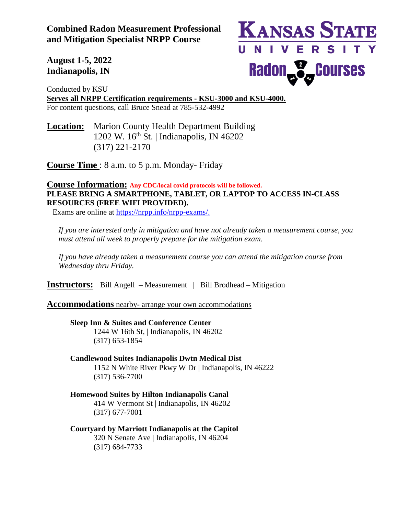**Combined Radon Measurement Professional and Mitigation Specialist NRPP Course** 

**KANSAS STATE** UNIVERSITY Radon<sub>no</sub> **P**<sub>m</sub> Courses

**August 1-5, 2022 Indianapolis, IN**

Conducted by KSU **Serves all NRPP Certification requirements - KSU-3000 and KSU-4000.** For content questions, call Bruce Snead at 785-532-4992

**Location:** Marion County Health Department Building 1202 W.  $16^{th}$  St. | Indianapolis, IN 46202 (317) 221-2170

**Course Time** : 8 a.m. to 5 p.m. Monday- Friday

# **Course Information: Any CDC/local covid protocols will be followed. PLEASE BRING A SMARTPHONE, TABLET, OR LAPTOP TO ACCESS IN-CLASS RESOURCES (FREE WIFI PROVIDED).**

Exams are online at [https://nrpp.info/nrpp-exams/.](https://nrpp.info/nrpp-exams/)

*If you are interested only in mitigation and have not already taken a measurement course, you must attend all week to properly prepare for the mitigation exam.* 

*If you have already taken a measurement course you can attend the mitigation course from Wednesday thru Friday.* 

**Instructors:** Bill Angell – Measurement | Bill Brodhead – Mitigation

**Accommodations** nearby- arrange your own accommodations

## **Sleep Inn & Suites and Conference Center**

1244 W 16th St, | Indianapolis, IN 46202 (317) 653-1854

## **Candlewood Suites Indianapolis Dwtn Medical Dist**

1152 N White River Pkwy W Dr | Indianapolis, IN 46222 (317) 536-7700

# **Homewood Suites by Hilton Indianapolis Canal**

414 W Vermont St | Indianapolis, IN 46202 (317) 677-7001

### **Courtyard by Marriott Indianapolis at the Capitol** 320 N Senate Ave | Indianapolis, IN 46204 (317) 684-7733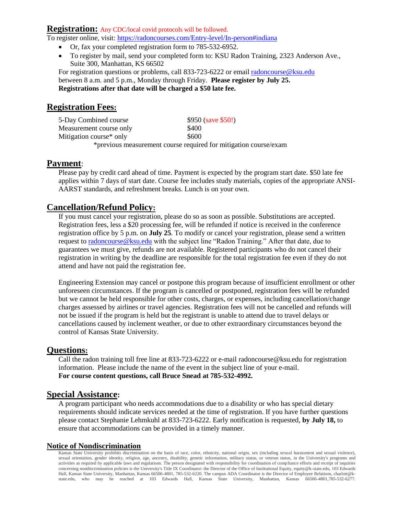#### **Registration:** Any CDC/local covid protocols will be followed.

To register online, visit: <https://radoncourses.com/Entry-level/In-person#indiana>

- Or, fax your completed registration form to 785-532-6952.
- To register by mail, send your completed form to: KSU Radon Training, 2323 Anderson Ave., Suite 300, Manhattan, KS 66502

For registration questions or problems, call 833-723-6222 or email [radoncourse@ksu.edu](mailto:radoncourse@ksu.edu) between 8 a.m. and 5 p.m., Monday through Friday. **Please register by July 25. Registrations after that date will be charged a \$50 late fee.**

# **Registration Fees:**

| 5-Day Combined course   | $$950$ (save \$50!)                                              |
|-------------------------|------------------------------------------------------------------|
| Measurement course only | \$400                                                            |
| Mitigation course* only | \$600                                                            |
|                         | *previous measurement course required for mitigation course/exam |

### **Payment**:

Please pay by credit card ahead of time. Payment is expected by the program start date. \$50 late fee applies within 7 days of start date. Course fee includes study materials, copies of the appropriate ANSI-AARST standards, and refreshment breaks. Lunch is on your own.

# **Cancellation/Refund Policy:**

If you must cancel your registration, please do so as soon as possible. Substitutions are accepted. Registration fees, less a \$20 processing fee, will be refunded if notice is received in the conference registration office by 5 p.m. on **July 25**. To modify or cancel your registration, please send a written request to [radoncourse@ksu.edu](mailto:radoncourse@ksu.edu) with the subject line "Radon Training." After that date, due to guarantees we must give, refunds are not available. Registered participants who do not cancel their registration in writing by the deadline are responsible for the total registration fee even if they do not attend and have not paid the registration fee.

Engineering Extension may cancel or postpone this program because of insufficient enrollment or other unforeseen circumstances. If the program is cancelled or postponed, registration fees will be refunded but we cannot be held responsible for other costs, charges, or expenses, including cancellation/change charges assessed by airlines or travel agencies. Registration fees will not be cancelled and refunds will not be issued if the program is held but the registrant is unable to attend due to travel delays or cancellations caused by inclement weather, or due to other extraordinary circumstances beyond the control of Kansas State University.

## **Questions:**

Call the radon training toll free line at 833-723-6222 or e-mail radoncourse@ksu.edu for registration information. Please include the name of the event in the subject line of your e-mail. **For course content questions, call Bruce Snead at 785-532-4992.**

## **Special Assistance:**

A program participant who needs accommodations due to a disability or who has special dietary requirements should indicate services needed at the time of registration. If you have further questions please contact Stephanie Lehmkuhl at 833-723-6222. Early notification is requested, **by July 18,** to ensure that accommodations can be provided in a timely manner.

### **Notice of Nondiscrimination**

Kansas State University prohibits discrimination on the basis of race, color, ethnicity, national origin, sex (including sexual harassment and sexual violence), sexual orientation, gender identity, religion, age, ancestry, disability, genetic information, military status, or veteran status, in the University's programs and activities as required by applicable laws and regulations. The person designated with responsibility for coordination of compliance efforts and receipt of inquiries concerning nondiscrimination policies is the University's Title IX Coordinator: the Director of the Office of Institutional Equity, equity@k-state.edu, 103 Edwards Hall, Kansas State University, Manhattan, Kansas 66506-4801, 785-532-6220. The campus ADA Coordinator is the Director of Employee Relations, charlott@kstate.edu, who may be reached at 103 Edwards Hall, Kansas State University, Manhattan, Kansas 66506-4801,785-532-6277.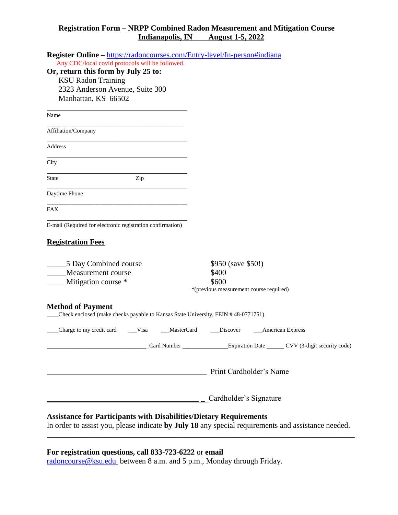### **Registration Form – NRPP Combined Radon Measurement and Mitigation Course Indianapolis, IN August 1-5, 2022**

| Register Online - https://radoncourses.com/Entry-level/In-person#indiana                                      |                                                                                                    |
|---------------------------------------------------------------------------------------------------------------|----------------------------------------------------------------------------------------------------|
| Any CDC/local covid protocols will be followed.                                                               |                                                                                                    |
| Or, return this form by July 25 to:                                                                           |                                                                                                    |
| <b>KSU Radon Training</b>                                                                                     |                                                                                                    |
| 2323 Anderson Avenue, Suite 300                                                                               |                                                                                                    |
| Manhattan, KS 66502                                                                                           |                                                                                                    |
| Name                                                                                                          |                                                                                                    |
| Affiliation/Company                                                                                           |                                                                                                    |
| Address                                                                                                       |                                                                                                    |
| City                                                                                                          |                                                                                                    |
| <b>State</b><br>Zip                                                                                           |                                                                                                    |
| Daytime Phone                                                                                                 |                                                                                                    |
| <b>FAX</b>                                                                                                    |                                                                                                    |
| E-mail (Required for electronic registration confirmation)                                                    |                                                                                                    |
|                                                                                                               |                                                                                                    |
| <b>Registration Fees</b>                                                                                      |                                                                                                    |
| 5 Day Combined course                                                                                         | \$950 (save \$50!)                                                                                 |
| Measurement course                                                                                            | \$400                                                                                              |
| Mitigation course *                                                                                           | \$600                                                                                              |
|                                                                                                               | *(previous measurement course required)                                                            |
| <b>Method of Payment</b><br>Check enclosed (make checks payable to Kansas State University, FEIN #48-0771751) |                                                                                                    |
| Charge to my credit card<br>Visa<br>MasterCard                                                                | <b>American Express</b><br>Discover                                                                |
|                                                                                                               | Card Number _________________Expiration Date _______CVV (3-digit security code)                    |
|                                                                                                               |                                                                                                    |
| <u> 1989 - Johann Barn, mars ar breithinn ar chwaraeth a bhaile ann an 1980.</u>                              | Print Cardholder's Name                                                                            |
|                                                                                                               | _ Cardholder's Signature                                                                           |
|                                                                                                               |                                                                                                    |
| <b>Assistance for Participants with Disabilities/Dietary Requirements</b>                                     |                                                                                                    |
|                                                                                                               | In order to assist you, please indicate by July 18 any special requirements and assistance needed. |

# **For registration questions, call 833-723-6222** or **email**

[radoncourse@ksu.edu](mailto:radoncourse@ksu.edu) between 8 a.m. and 5 p.m., Monday through Friday.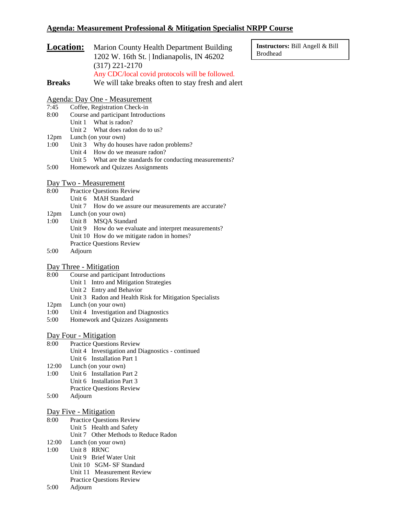### **Agenda: Measurement Professional & Mitigation Specialist NRPP Course**

| <b>Location:</b> | Marion County Health Department Building          |
|------------------|---------------------------------------------------|
|                  | 1202 W. 16th St.   Indianapolis, IN 46202         |
|                  | $(317)$ 221-2170                                  |
|                  | Any CDC/local covid protocols will be followed.   |
| <b>Breaks</b>    | We will take breaks often to stay fresh and alert |

**Instructors:** Bill Angell & Bill Brodhead

#### Agenda: Day One - Measurement

- 7:45 Coffee, Registration Check-in
- 8:00 Course and participant Introductions
	- Unit 1 What is radon?
		- Unit 2 What does radon do to us?
- 12pm Lunch (on your own)
- 1:00 Unit 3 Why do houses have radon problems?
	- Unit 4 How do we measure radon?
- Unit 5 What are the standards for conducting measurements?
- 5:00 Homework and Quizzes Assignments

#### Day Two - Measurement

- 8:00 Practice Questions Review
	- Unit 6 MAH Standard
		- Unit 7 How do we assure our measurements are accurate?
- 12pm Lunch (on your own)
- 1:00 Unit 8 MSQA Standard Unit 9 How do we evaluate and interpret measurements? Unit 10 How do we mitigate radon in homes? Practice Questions Review
- 5:00 Adjourn

#### Day Three - Mitigation

- 8:00 Course and participant Introductions
	- Unit 1 Intro and Mitigation Strategies
	- Unit 2 Entry and Behavior
	- Unit 3 Radon and Health Risk for Mitigation Specialists
- 12pm Lunch (on your own)
- 1:00 Unit 4 Investigation and Diagnostics
- 5:00 Homework and Quizzes Assignments

#### Day Four - Mitigation

- 8:00 Practice Questions Review Unit 4 Investigation and Diagnostics - continued Unit 6 Installation Part 1
- 12:00 Lunch (on your own)
- 1:00 Unit 6 Installation Part 2 Unit 6 Installation Part 3 Practice Questions Review
- 5:00 Adjourn

#### Day Five - Mitigation

| 8:00  | <b>Practice Questions Review</b>     |
|-------|--------------------------------------|
|       | Unit 5 Health and Safety             |
|       | Unit 7 Other Methods to Reduce Radon |
| 12:00 | Lunch (on your own)                  |

- 1:00 Unit 8 RRNC
	- Unit 9 Brief Water Unit
	- Unit 10 SGM‐ SF Standard
	- Unit 11 Measurement Review
	- Practice Questions Review
- 5:00 Adjourn